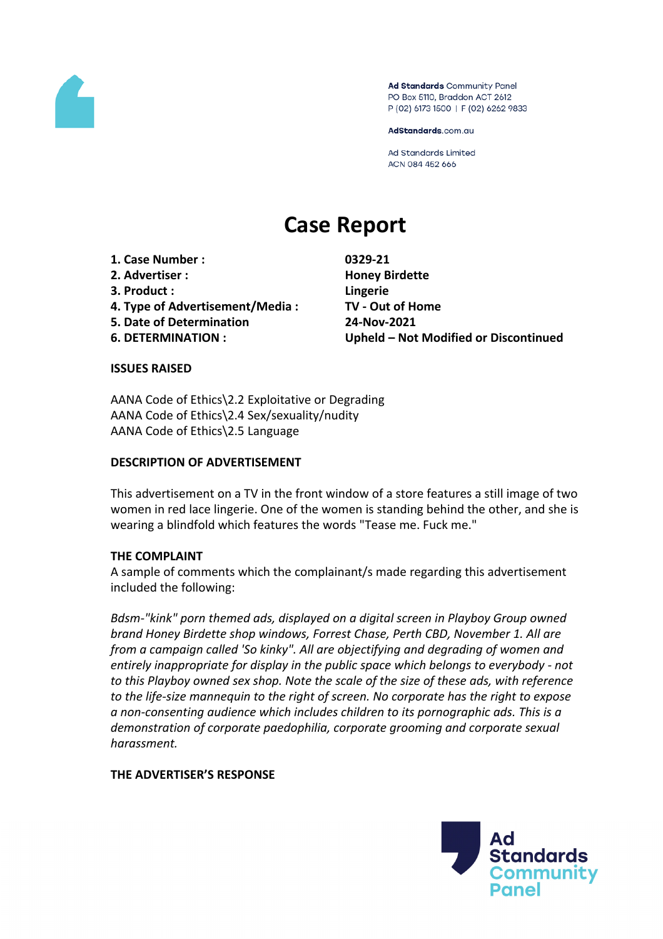

Ad Standards Community Panel PO Box 5110, Braddon ACT 2612 P (02) 6173 1500 | F (02) 6262 9833

AdStandards.com.au

**Ad Standards Limited** ACN 084 452 666

# **Case Report**

**1. Case Number : 0329-21 2. Advertiser : Honey Birdette**

- **3. Product : Lingerie**
- **4. Type of Advertisement/Media : TV - Out of Home**
- **5. Date of Determination 24-Nov-2021**
- 

**6. DETERMINATION : Upheld – Not Modified or Discontinued**

## **ISSUES RAISED**

AANA Code of Ethics\2.2 Exploitative or Degrading AANA Code of Ethics\2.4 Sex/sexuality/nudity AANA Code of Ethics\2.5 Language

## **DESCRIPTION OF ADVERTISEMENT**

This advertisement on a TV in the front window of a store features a still image of two women in red lace lingerie. One of the women is standing behind the other, and she is wearing a blindfold which features the words "Tease me. Fuck me."

## **THE COMPLAINT**

A sample of comments which the complainant/s made regarding this advertisement included the following:

*Bdsm-"kink" porn themed ads, displayed on a digital screen in Playboy Group owned brand Honey Birdette shop windows, Forrest Chase, Perth CBD, November 1. All are from a campaign called 'So kinky". All are objectifying and degrading of women and entirely inappropriate for display in the public space which belongs to everybody - not to this Playboy owned sex shop. Note the scale of the size of these ads, with reference to the life-size mannequin to the right of screen. No corporate has the right to expose a non-consenting audience which includes children to its pornographic ads. This is a demonstration of corporate paedophilia, corporate grooming and corporate sexual harassment.*

## **THE ADVERTISER'S RESPONSE**

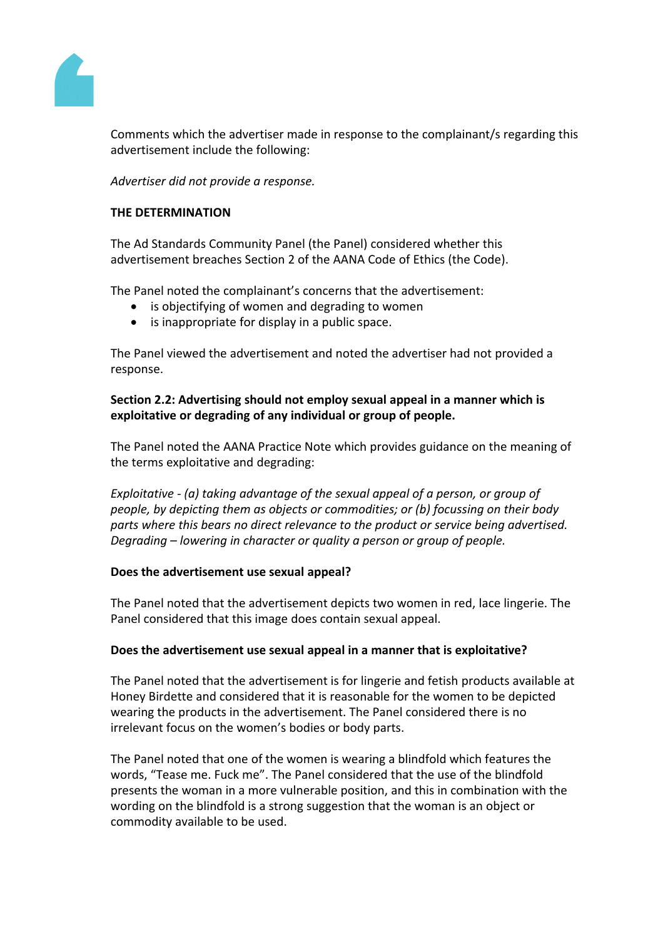

Comments which the advertiser made in response to the complainant/s regarding this advertisement include the following:

*Advertiser did not provide a response.*

## **THE DETERMINATION**

The Ad Standards Community Panel (the Panel) considered whether this advertisement breaches Section 2 of the AANA Code of Ethics (the Code).

The Panel noted the complainant's concerns that the advertisement:

- is objectifying of women and degrading to women
- is inappropriate for display in a public space.

The Panel viewed the advertisement and noted the advertiser had not provided a response.

## **Section 2.2: Advertising should not employ sexual appeal in a manner which is exploitative or degrading of any individual or group of people.**

The Panel noted the AANA Practice Note which provides guidance on the meaning of the terms exploitative and degrading:

*Exploitative - (a) taking advantage of the sexual appeal of a person, or group of people, by depicting them as objects or commodities; or (b) focussing on their body parts where this bears no direct relevance to the product or service being advertised. Degrading – lowering in character or quality a person or group of people.*

## **Does the advertisement use sexual appeal?**

The Panel noted that the advertisement depicts two women in red, lace lingerie. The Panel considered that this image does contain sexual appeal.

## **Does the advertisement use sexual appeal in a manner that is exploitative?**

The Panel noted that the advertisement is for lingerie and fetish products available at Honey Birdette and considered that it is reasonable for the women to be depicted wearing the products in the advertisement. The Panel considered there is no irrelevant focus on the women's bodies or body parts.

The Panel noted that one of the women is wearing a blindfold which features the words, "Tease me. Fuck me". The Panel considered that the use of the blindfold presents the woman in a more vulnerable position, and this in combination with the wording on the blindfold is a strong suggestion that the woman is an object or commodity available to be used.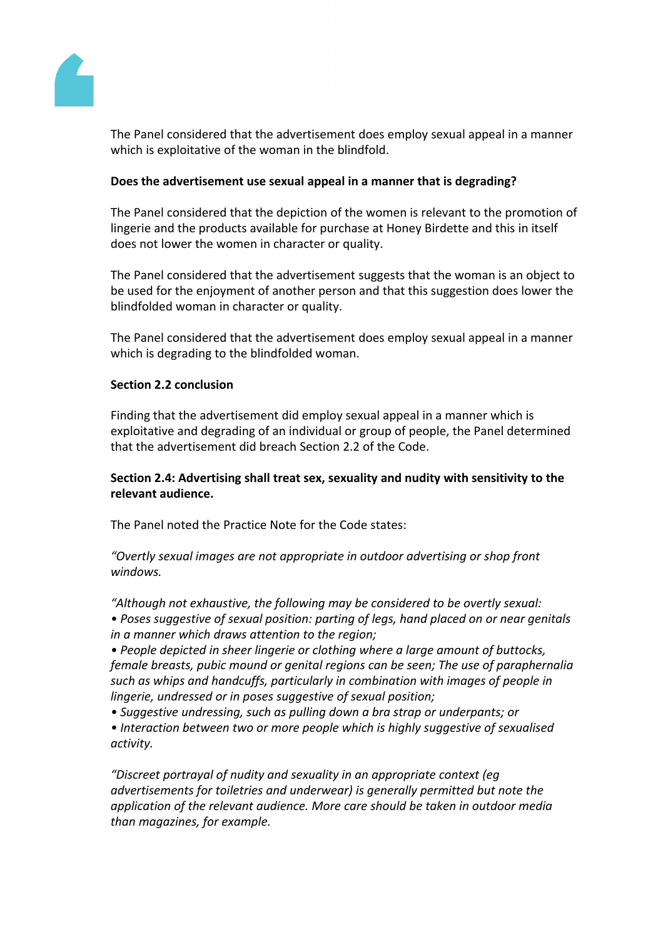

The Panel considered that the advertisement does employ sexual appeal in a manner which is exploitative of the woman in the blindfold.

## **Does the advertisement use sexual appeal in a manner that is degrading?**

The Panel considered that the depiction of the women is relevant to the promotion of lingerie and the products available for purchase at Honey Birdette and this in itself does not lower the women in character or quality.

The Panel considered that the advertisement suggests that the woman is an object to be used for the enjoyment of another person and that this suggestion does lower the blindfolded woman in character or quality.

The Panel considered that the advertisement does employ sexual appeal in a manner which is degrading to the blindfolded woman.

## **Section 2.2 conclusion**

Finding that the advertisement did employ sexual appeal in a manner which is exploitative and degrading of an individual or group of people, the Panel determined that the advertisement did breach Section 2.2 of the Code.

## **Section 2.4: Advertising shall treat sex, sexuality and nudity with sensitivity to the relevant audience.**

The Panel noted the Practice Note for the Code states:

*"Overtly sexual images are not appropriate in outdoor advertising or shop front windows.*

*"Although not exhaustive, the following may be considered to be overtly sexual:*

*• Poses suggestive of sexual position: parting of legs, hand placed on or near genitals in a manner which draws attention to the region;*

*• People depicted in sheer lingerie or clothing where a large amount of buttocks, female breasts, pubic mound or genital regions can be seen; The use of paraphernalia such as whips and handcuffs, particularly in combination with images of people in lingerie, undressed or in poses suggestive of sexual position;*

*• Suggestive undressing, such as pulling down a bra strap or underpants; or*

*• Interaction between two or more people which is highly suggestive of sexualised activity.*

*"Discreet portrayal of nudity and sexuality in an appropriate context (eg advertisements for toiletries and underwear) is generally permitted but note the application of the relevant audience. More care should be taken in outdoor media than magazines, for example.*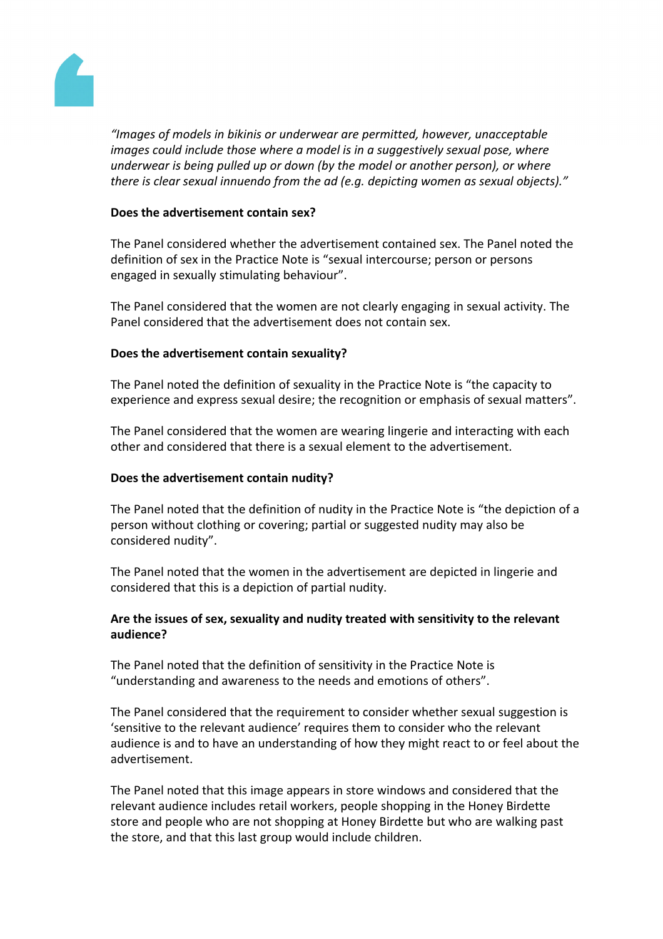

*"Images of models in bikinis or underwear are permitted, however, unacceptable images could include those where a model is in a suggestively sexual pose, where underwear is being pulled up or down (by the model or another person), or where there is clear sexual innuendo from the ad (e.g. depicting women as sexual objects)."*

## **Does the advertisement contain sex?**

The Panel considered whether the advertisement contained sex. The Panel noted the definition of sex in the Practice Note is "sexual intercourse; person or persons engaged in sexually stimulating behaviour".

The Panel considered that the women are not clearly engaging in sexual activity. The Panel considered that the advertisement does not contain sex.

## **Does the advertisement contain sexuality?**

The Panel noted the definition of sexuality in the Practice Note is "the capacity to experience and express sexual desire; the recognition or emphasis of sexual matters".

The Panel considered that the women are wearing lingerie and interacting with each other and considered that there is a sexual element to the advertisement.

## **Does the advertisement contain nudity?**

The Panel noted that the definition of nudity in the Practice Note is "the depiction of a person without clothing or covering; partial or suggested nudity may also be considered nudity".

The Panel noted that the women in the advertisement are depicted in lingerie and considered that this is a depiction of partial nudity.

## **Are the issues of sex, sexuality and nudity treated with sensitivity to the relevant audience?**

The Panel noted that the definition of sensitivity in the Practice Note is "understanding and awareness to the needs and emotions of others".

The Panel considered that the requirement to consider whether sexual suggestion is 'sensitive to the relevant audience' requires them to consider who the relevant audience is and to have an understanding of how they might react to or feel about the advertisement.

The Panel noted that this image appears in store windows and considered that the relevant audience includes retail workers, people shopping in the Honey Birdette store and people who are not shopping at Honey Birdette but who are walking past the store, and that this last group would include children.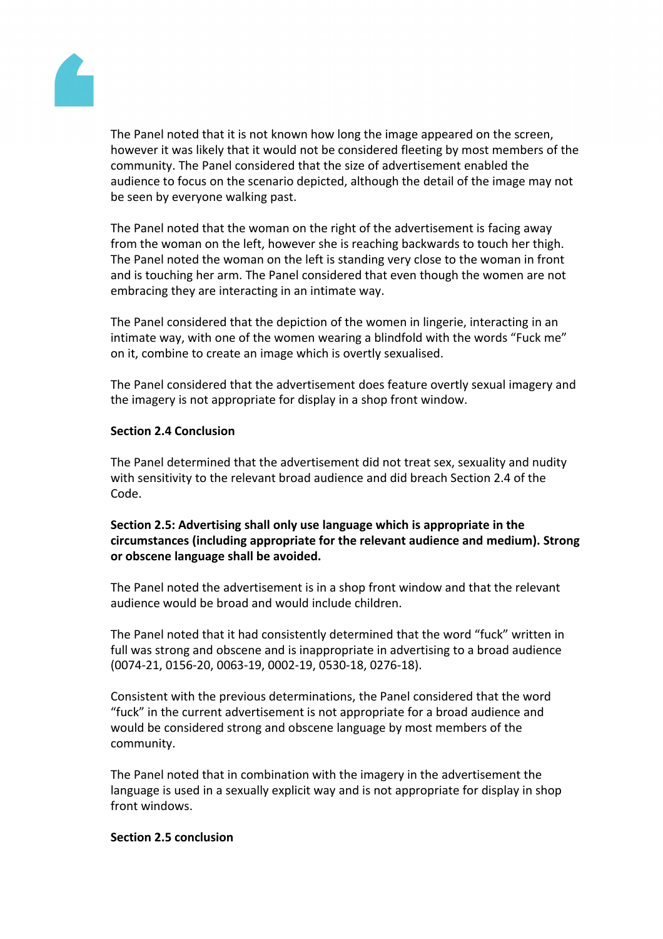

The Panel noted that it is not known how long the image appeared on the screen, however it was likely that it would not be considered fleeting by most members of the community. The Panel considered that the size of advertisement enabled the audience to focus on the scenario depicted, although the detail of the image may not be seen by everyone walking past.

The Panel noted that the woman on the right of the advertisement is facing away from the woman on the left, however she is reaching backwards to touch her thigh. The Panel noted the woman on the left is standing very close to the woman in front and is touching her arm. The Panel considered that even though the women are not embracing they are interacting in an intimate way.

The Panel considered that the depiction of the women in lingerie, interacting in an intimate way, with one of the women wearing a blindfold with the words "Fuck me" on it, combine to create an image which is overtly sexualised.

The Panel considered that the advertisement does feature overtly sexual imagery and the imagery is not appropriate for display in a shop front window.

## **Section 2.4 Conclusion**

The Panel determined that the advertisement did not treat sex, sexuality and nudity with sensitivity to the relevant broad audience and did breach Section 2.4 of the Code.

## **Section 2.5: Advertising shall only use language which is appropriate in the circumstances (including appropriate for the relevant audience and medium). Strong or obscene language shall be avoided.**

The Panel noted the advertisement is in a shop front window and that the relevant audience would be broad and would include children.

The Panel noted that it had consistently determined that the word "fuck" written in full was strong and obscene and is inappropriate in advertising to a broad audience (0074-21, 0156-20, 0063-19, 0002-19, 0530-18, 0276-18).

Consistent with the previous determinations, the Panel considered that the word "fuck" in the current advertisement is not appropriate for a broad audience and would be considered strong and obscene language by most members of the community.

The Panel noted that in combination with the imagery in the advertisement the language is used in a sexually explicit way and is not appropriate for display in shop front windows.

## **Section 2.5 conclusion**